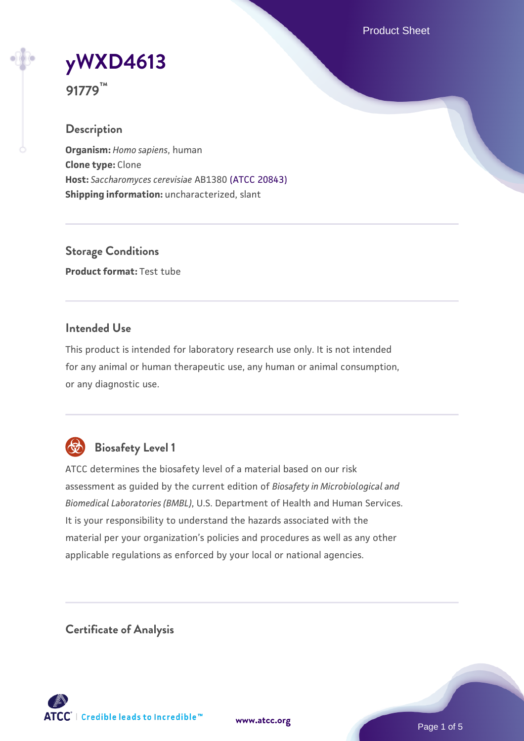Product Sheet



**91779™**

## **Description**

**Organism:** *Homo sapiens*, human **Clone type:** Clone **Host:** *Saccharomyces cerevisiae* AB1380 [\(ATCC 20843\)](https://www.atcc.org/products/20843) **Shipping information:** uncharacterized, slant

**Storage Conditions Product format:** Test tube

## **Intended Use**

This product is intended for laboratory research use only. It is not intended for any animal or human therapeutic use, any human or animal consumption, or any diagnostic use.



## **Biosafety Level 1**

ATCC determines the biosafety level of a material based on our risk assessment as guided by the current edition of *Biosafety in Microbiological and Biomedical Laboratories (BMBL)*, U.S. Department of Health and Human Services. It is your responsibility to understand the hazards associated with the material per your organization's policies and procedures as well as any other applicable regulations as enforced by your local or national agencies.

**Certificate of Analysis**

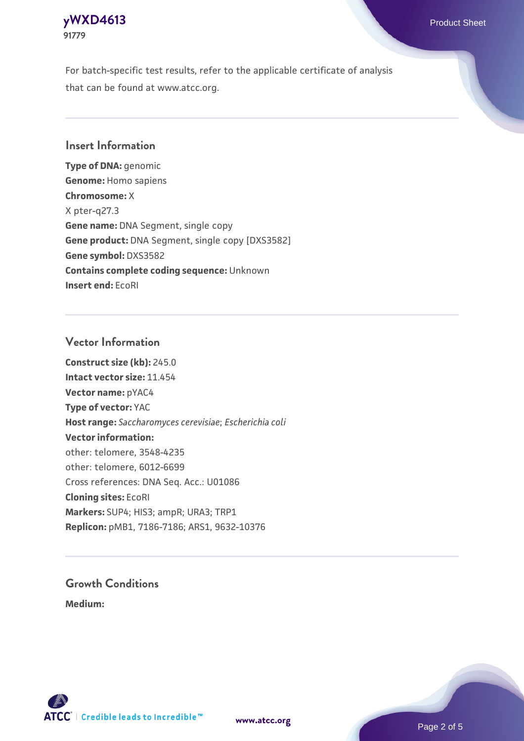## **[yWXD4613](https://www.atcc.org/products/91779)** Product Sheet **91779**

For batch-specific test results, refer to the applicable certificate of analysis that can be found at www.atcc.org.

## **Insert Information**

**Type of DNA:** genomic **Genome:** Homo sapiens **Chromosome:** X X pter-q27.3 **Gene name:** DNA Segment, single copy **Gene product:** DNA Segment, single copy [DXS3582] **Gene symbol:** DXS3582 **Contains complete coding sequence:** Unknown **Insert end:** EcoRI

## **Vector Information**

**Construct size (kb):** 245.0 **Intact vector size:** 11.454 **Vector name:** pYAC4 **Type of vector:** YAC **Host range:** *Saccharomyces cerevisiae*; *Escherichia coli* **Vector information:** other: telomere, 3548-4235 other: telomere, 6012-6699 Cross references: DNA Seq. Acc.: U01086 **Cloning sites:** EcoRI **Markers:** SUP4; HIS3; ampR; URA3; TRP1 **Replicon:** pMB1, 7186-7186; ARS1, 9632-10376

# **Growth Conditions**

**Medium:** 



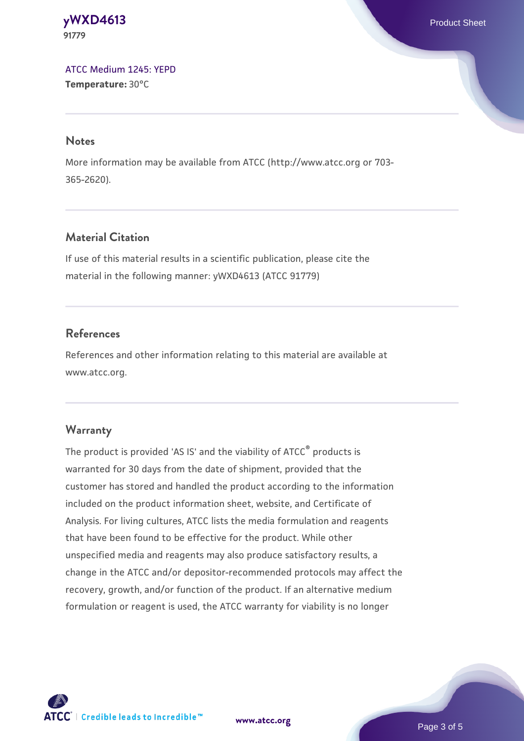#### **[yWXD4613](https://www.atcc.org/products/91779)** Product Sheet **91779**

[ATCC Medium 1245: YEPD](https://www.atcc.org/-/media/product-assets/documents/microbial-media-formulations/1/2/4/5/atcc-medium-1245.pdf?rev=705ca55d1b6f490a808a965d5c072196) **Temperature:** 30°C

#### **Notes**

More information may be available from ATCC (http://www.atcc.org or 703- 365-2620).

## **Material Citation**

If use of this material results in a scientific publication, please cite the material in the following manner: yWXD4613 (ATCC 91779)

## **References**

References and other information relating to this material are available at www.atcc.org.

## **Warranty**

The product is provided 'AS IS' and the viability of ATCC® products is warranted for 30 days from the date of shipment, provided that the customer has stored and handled the product according to the information included on the product information sheet, website, and Certificate of Analysis. For living cultures, ATCC lists the media formulation and reagents that have been found to be effective for the product. While other unspecified media and reagents may also produce satisfactory results, a change in the ATCC and/or depositor-recommended protocols may affect the recovery, growth, and/or function of the product. If an alternative medium formulation or reagent is used, the ATCC warranty for viability is no longer



**[www.atcc.org](http://www.atcc.org)**

Page 3 of 5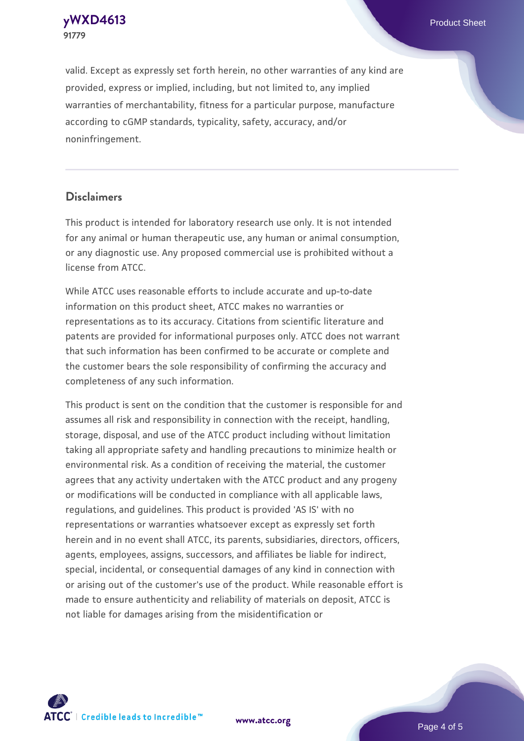**[yWXD4613](https://www.atcc.org/products/91779)** Product Sheet **91779**

valid. Except as expressly set forth herein, no other warranties of any kind are provided, express or implied, including, but not limited to, any implied warranties of merchantability, fitness for a particular purpose, manufacture according to cGMP standards, typicality, safety, accuracy, and/or noninfringement.

#### **Disclaimers**

This product is intended for laboratory research use only. It is not intended for any animal or human therapeutic use, any human or animal consumption, or any diagnostic use. Any proposed commercial use is prohibited without a license from ATCC.

While ATCC uses reasonable efforts to include accurate and up-to-date information on this product sheet, ATCC makes no warranties or representations as to its accuracy. Citations from scientific literature and patents are provided for informational purposes only. ATCC does not warrant that such information has been confirmed to be accurate or complete and the customer bears the sole responsibility of confirming the accuracy and completeness of any such information.

This product is sent on the condition that the customer is responsible for and assumes all risk and responsibility in connection with the receipt, handling, storage, disposal, and use of the ATCC product including without limitation taking all appropriate safety and handling precautions to minimize health or environmental risk. As a condition of receiving the material, the customer agrees that any activity undertaken with the ATCC product and any progeny or modifications will be conducted in compliance with all applicable laws, regulations, and guidelines. This product is provided 'AS IS' with no representations or warranties whatsoever except as expressly set forth herein and in no event shall ATCC, its parents, subsidiaries, directors, officers, agents, employees, assigns, successors, and affiliates be liable for indirect, special, incidental, or consequential damages of any kind in connection with or arising out of the customer's use of the product. While reasonable effort is made to ensure authenticity and reliability of materials on deposit, ATCC is not liable for damages arising from the misidentification or



**[www.atcc.org](http://www.atcc.org)**

Page 4 of 5